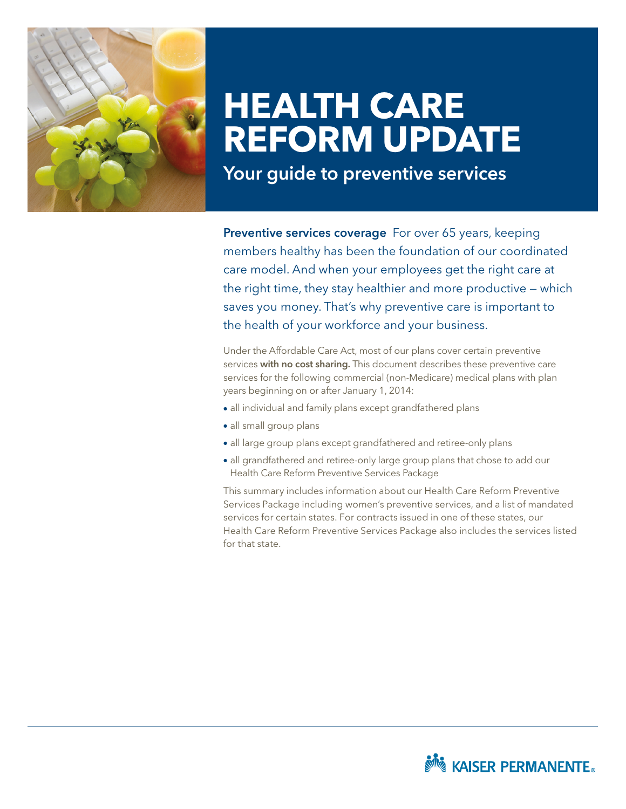

# **HEALTH CARE REFORM UPDATE**

Your guide to preventive services

Preventive services coverage For over 65 years, keeping members healthy has been the foundation of our coordinated care model. And when your employees get the right care at the right time, they stay healthier and more productive — which saves you money. That's why preventive care is important to the health of your workforce and your business.

Under the Affordable Care Act, most of our plans cover certain preventive services with no cost sharing. This document describes these preventive care services for the following commercial (non-Medicare) medical plans with plan years beginning on or after January 1, 2014:

- all individual and family plans except grandfathered plans
- all small group plans
- all large group plans except grandfathered and retiree-only plans
- all grandfathered and retiree-only large group plans that chose to add our Health Care Reform Preventive Services Package

This summary includes information about our Health Care Reform Preventive Services Package including women's preventive services, and a list of mandated services for certain states. For contracts issued in one of these states, our Health Care Reform Preventive Services Package also includes the services listed for that state.

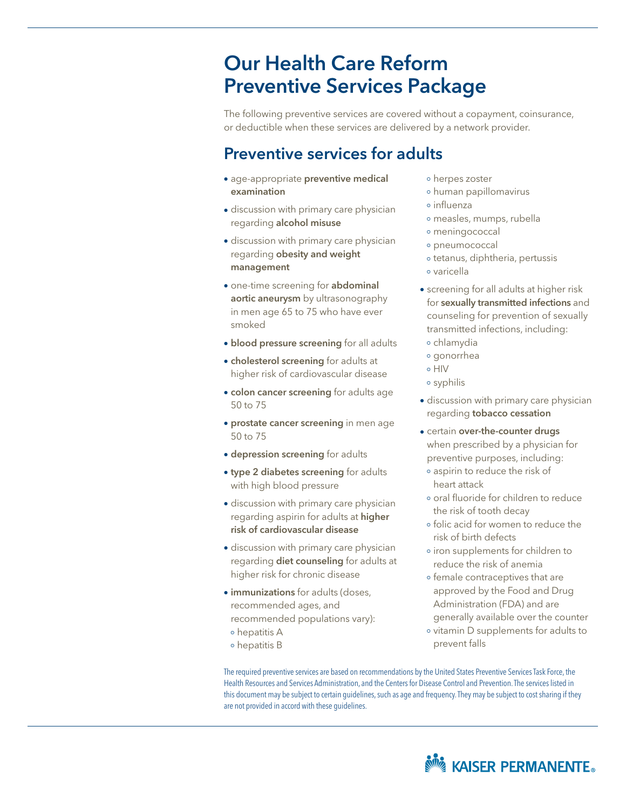# Our Health Care Reform Preventive Services Package

The following preventive services are covered without a copayment, coinsurance, or deductible when these services are delivered by a network provider.

## Preventive services for adults

- age-appropriate preventive medical examination
- discussion with primary care physician regarding alcohol misuse
- discussion with primary care physician regarding obesity and weight management
- one-time screening for abdominal aortic aneurysm by ultrasonography in men age 65 to 75 who have ever smoked
- **blood pressure screening** for all adults
- cholesterol screening for adults at higher risk of cardiovascular disease
- colon cancer screening for adults age 50 to 75
- **prostate cancer screening** in men age 50 to 75
- depression screening for adults
- type 2 diabetes screening for adults with high blood pressure
- discussion with primary care physician regarding aspirin for adults at higher risk of cardiovascular disease
- discussion with primary care physician regarding **diet counseling** for adults at higher risk for chronic disease
- $\bullet$  **immunizations** for adults (doses, recommended ages, and recommended populations vary): hepatitis A hepatitis B
- herpes zoster
- human papillomavirus
- influenza
- measles, mumps, rubella
- meningococcal
- pneumococcal
- o tetanus, diphtheria, pertussis
- varicella
- screening for all adults at higher risk for sexually transmitted infections and counseling for prevention of sexually transmitted infections, including:
- chlamydia
- gonorrhea
- o HIV
- syphilis
- discussion with primary care physician regarding **tobacco cessation**
- certain over-the-counter drugs when prescribed by a physician for preventive purposes, including:
- aspirin to reduce the risk of heart attack
- o oral fluoride for children to reduce the risk of tooth decay
- folic acid for women to reduce the risk of birth defects
- iron supplements for children to reduce the risk of anemia
- o female contraceptives that are approved by the Food and Drug Administration (FDA) and are generally available over the counter
- vitamin D supplements for adults to prevent falls

The required preventive services are based on recommendations by the United States Preventive Services Task Force, the Health Resources and Services Administration, and the Centers for Disease Control and Prevention. The services listed in this document may be subject to certain guidelines, such as age and frequency. They may be subject to cost sharing if they are not provided in accord with these guidelines.

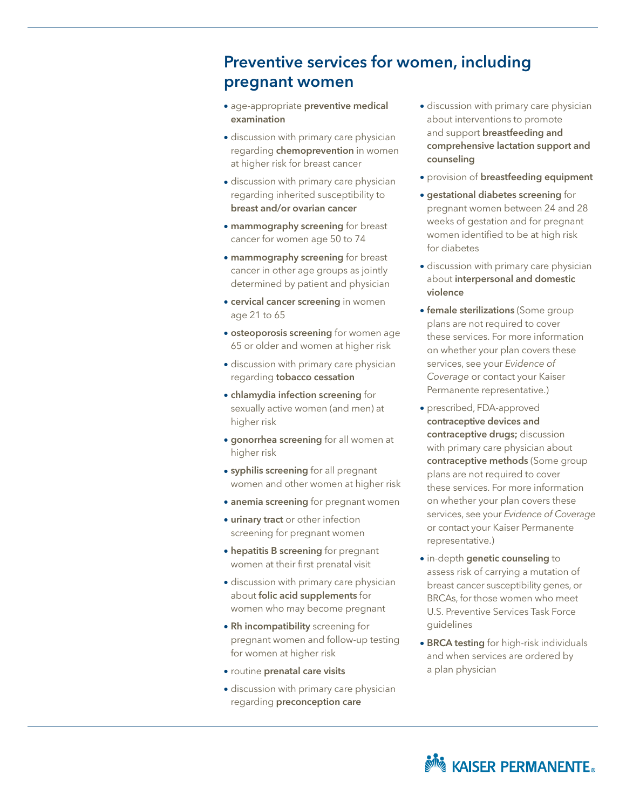### Preventive services for women, including pregnant women

- age-appropriate preventive medical examination
- discussion with primary care physician regarding **chemoprevention** in women at higher risk for breast cancer
- discussion with primary care physician regarding inherited susceptibility to breast and/or ovarian cancer
- mammography screening for breast cancer for women age 50 to 74
- mammography screening for breast cancer in other age groups as jointly determined by patient and physician
- **cervical cancer screening** in women age 21 to 65
- **osteoporosis screening** for women age 65 or older and women at higher risk
- discussion with primary care physician regarding tobacco cessation
- chlamydia infection screening for sexually active women (and men) at higher risk
- **gonorrhea screening** for all women at higher risk
- **syphilis screening** for all pregnant women and other women at higher risk
- anemia screening for pregnant women
- urinary tract or other infection screening for pregnant women
- hepatitis B screening for pregnant women at their first prenatal visit
- discussion with primary care physician about folic acid supplements for women who may become pregnant
- Rh incompatibility screening for pregnant women and follow-up testing for women at higher risk
- routine prenatal care visits
- discussion with primary care physician regarding preconception care
- discussion with primary care physician about interventions to promote and support breastfeeding and comprehensive lactation support and counseling
- provision of breastfeeding equipment
- gestational diabetes screening for pregnant women between 24 and 28 weeks of gestation and for pregnant women identified to be at high risk for diabetes
- discussion with primary care physician about interpersonal and domestic violence
- **female sterilizations** (Some group plans are not required to cover these services. For more information on whether your plan covers these services, see your *Evidence of Coverage* or contact your Kaiser Permanente representative.)
- prescribed, FDA-approved contraceptive devices and contraceptive drugs; discussion with primary care physician about contraceptive methods (Some group plans are not required to cover these services. For more information on whether your plan covers these services, see your *Evidence of Coverage* or contact your Kaiser Permanente representative.)
- in-depth genetic counseling to assess risk of carrying a mutation of breast cancer susceptibility genes, or BRCAs, for those women who meet U.S. Preventive Services Task Force guidelines
- **BRCA testing** for high-risk individuals and when services are ordered by a plan physician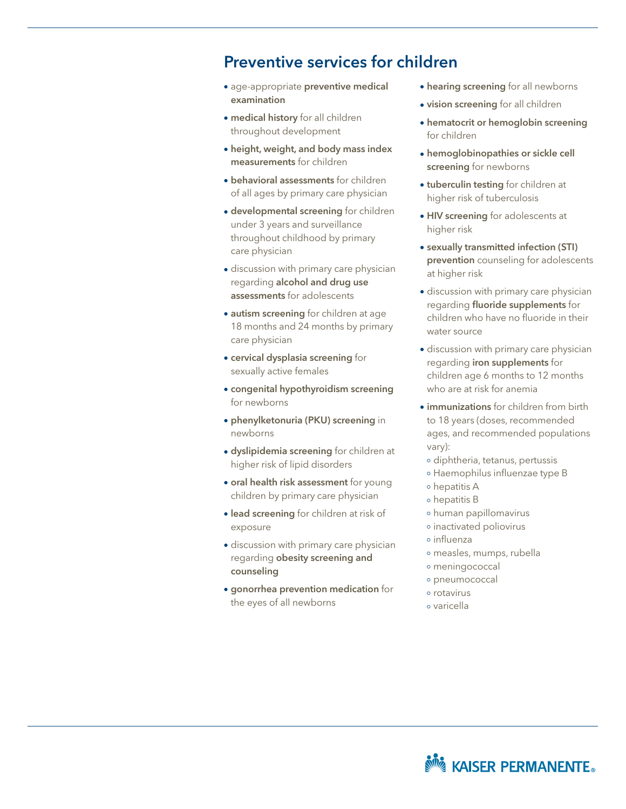#### Preventive services for children

- age-appropriate preventive medical examination
- medical history for all children throughout development
- height, weight, and body mass index measurements for children
- behavioral assessments for children of all ages by primary care physician
- developmental screening for children under 3 years and surveillance throughout childhood by primary care physician
- discussion with primary care physician regarding alcohol and drug use assessments for adolescents
- autism screening for children at age 18 months and 24 months by primary care physician
- cervical dysplasia screening for sexually active females
- congenital hypothyroidism screening for newborns
- phenylketonuria (PKU) screening in newborns
- dyslipidemia screening for children at higher risk of lipid disorders
- oral health risk assessment for young children by primary care physician
- **.** lead screening for children at risk of exposure
- discussion with primary care physician regarding obesity screening and counseling
- gonorrhea prevention medication for the eyes of all newborns
- hearing screening for all newborns
- vision screening for all children
- hematocrit or hemoglobin screening for children
- hemoglobinopathies or sickle cell screening for newborns
- tuberculin testing for children at higher risk of tuberculosis
- HIV screening for adolescents at higher risk
- sexually transmitted infection (STI) prevention counseling for adolescents at higher risk
- discussion with primary care physician regarding fluoride supplements for children who have no fluoride in their water source
- discussion with primary care physician regarding iron supplements for children age 6 months to 12 months who are at risk for anemia
- immunizations for children from birth to 18 years (doses, recommended ages, and recommended populations vary):
- diphtheria, tetanus, pertussis
- Haemophilus influenzae type B
- hepatitis A
- hepatitis B
- human papillomavirus
- inactivated poliovirus
- influenza
- measles, mumps, rubella
- meningococcal
- pneumococcal
- rotavirus
- varicella